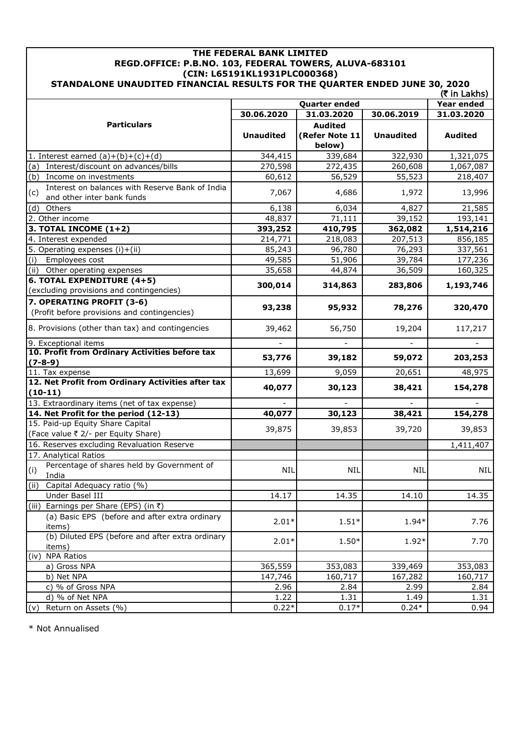| REGD.OFFICE: P.B.NO. 103, FEDERAL TOWERS, ALUVA-683101<br>(CIN: L65191KL1931PLC000368) |                  |                                            |                       |                |
|----------------------------------------------------------------------------------------|------------------|--------------------------------------------|-----------------------|----------------|
| STANDALONE UNAUDITED FINANCIAL RESULTS FOR THE QUARTER ENDED JUNE 30, 2020             |                  |                                            |                       | (₹ in Lakhs)   |
|                                                                                        |                  | <b>Quarter ended</b>                       |                       | Year ended     |
|                                                                                        | 30.06.2020       | 31.03.2020                                 | 30.06.2019            | 31.03.2020     |
| <b>Particulars</b>                                                                     | <b>Unaudited</b> | <b>Audited</b><br>(Refer Note 11<br>below) | <b>Unaudited</b>      | <b>Audited</b> |
| 1. Interest earned $(a)+(b)+(c)+(d)$                                                   | 344,415          | 339,684                                    | 322,930               | 1,321,075      |
| Interest/discount on advances/bills<br>(a)                                             | 270,598          | 272,435                                    | 260,608               | 1,067,087      |
| Income on investments<br>(b)                                                           | 60,612           | 56,529                                     | 55,523                | 218,407        |
| Interest on balances with Reserve Bank of India<br>(c)<br>and other inter bank funds   | 7,067            | 4,686                                      | 1,972                 | 13,996         |
| Others<br>(d)                                                                          | 6,138            | 6,034                                      | 4,827                 | 21,585         |
| 2. Other income                                                                        | 48,837           | 71,111                                     | 39,152                | 193,141        |
| 3. TOTAL INCOME $(1+2)$                                                                | 393,252          | 410,795                                    | 362,082               | 1,514,216      |
| 4. Interest expended                                                                   | 214,771          | 218,083                                    | 207,513               | 856,185        |
| 5. Operating expenses (i)+(ii)                                                         | 85,243           | 96,780                                     | 76,293                | 337,561        |
| (i)<br>Employees cost                                                                  | 49,585           | 51,906                                     | 39,784                | 177,236        |
| (ii) Other operating expenses                                                          | 35,658           | 44,874                                     | 36,509                | 160,325        |
| 6. TOTAL EXPENDITURE (4+5)                                                             | 300,014          | 314,863                                    | 283,806               | 1,193,746      |
| (excluding provisions and contingencies)                                               |                  |                                            |                       |                |
| 7. OPERATING PROFIT (3-6)                                                              |                  | 95,932                                     | 78,276                | 320,470        |
| (Profit before provisions and contingencies)                                           | 93,238           |                                            |                       |                |
| 8. Provisions (other than tax) and contingencies                                       | 39,462           | 56,750                                     | 19,204                | 117,217        |
| 9. Exceptional items                                                                   |                  |                                            |                       |                |
| 10. Profit from Ordinary Activities before tax                                         | 53,776           | 39,182                                     | 59,072                | 203,253        |
| $(7 - 8 - 9)$<br>11. Tax expense                                                       | 13,699           | 9,059                                      | 20,651                | 48,975         |
| 12. Net Profit from Ordinary Activities after tax                                      |                  |                                            |                       |                |
| $(10-11)$                                                                              | 40,077           | 30,123                                     | 38,421                | 154,278        |
| 13. Extraordinary items (net of tax expense)                                           |                  |                                            |                       |                |
| 14. Net Profit for the period (12-13)                                                  | 40,077           | 30,123                                     | 38,421                | 154,278        |
| 15. Paid-up Equity Share Capital                                                       |                  |                                            |                       |                |
| (Face value ₹ 2/- per Equity Share)                                                    | 39,875           | 39,853                                     | 39,720                | 39,853         |
| 16. Reserves excluding Revaluation Reserve                                             |                  |                                            |                       | 1,411,407      |
| 17. Analytical Ratios                                                                  |                  |                                            |                       |                |
| Percentage of shares held by Government of<br>(i)<br>India                             | <b>NIL</b>       | <b>NIL</b>                                 | <b>NIL</b>            | <b>NIL</b>     |
| Capital Adequacy ratio (%)<br>(ii)                                                     |                  |                                            |                       |                |
| Under Basel III                                                                        | 14.17            | 14.35                                      | 14.10                 | 14.35          |
| (iii) Earnings per Share (EPS) (in ₹)                                                  |                  |                                            |                       |                |
| (a) Basic EPS (before and after extra ordinary<br>items)                               | $2.01*$          | $1.51*$                                    | 1.94*                 | 7.76           |
| (b) Diluted EPS (before and after extra ordinary<br>items)                             | $2.01*$          | $1.50*$                                    | $1.92*$               | 7.70           |
| (iv) NPA Ratios                                                                        |                  |                                            |                       |                |
| a) Gross NPA                                                                           | 365,559          | 353,083                                    | 339,469               | 353,083        |
| b) Net NPA                                                                             | 147,746          | 160,717                                    | $\overline{1}$ 67,282 | 160,717        |
| c) % of Gross NPA                                                                      | 2.96             | 2.84                                       | 2.99                  | 2.84           |
| d) % of Net NPA                                                                        | 1.22             | 1.31                                       | 1.49                  | 1.31           |
| Return on Assets (%)<br>(v)                                                            | $0.22*$          | $0.17*$                                    | $0.24*$               | 0.94           |

**THE FEDERAL BANK LIMITED**

\* Not Annualised

 $\sqrt{ }$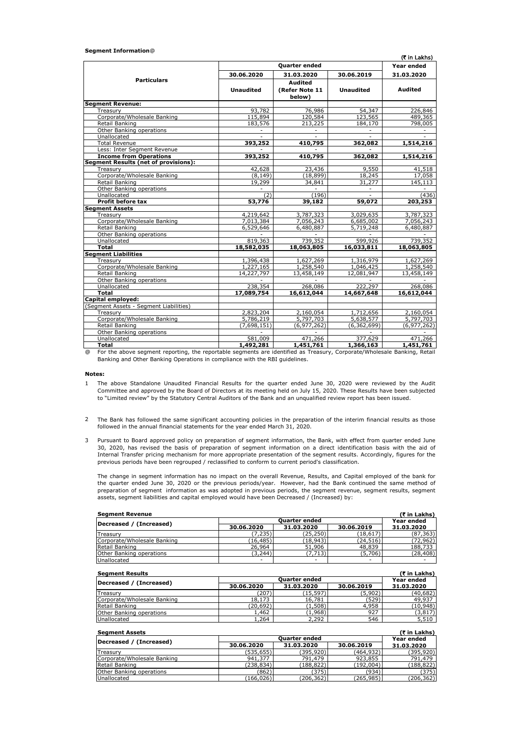## **Segment Information**@

|                                                                                                                               |                  | <b>Quarter ended</b>     |                  | Year ended     |
|-------------------------------------------------------------------------------------------------------------------------------|------------------|--------------------------|------------------|----------------|
|                                                                                                                               | 30.06.2020       | 31.03.2020               | 30.06.2019       | 31.03.2020     |
| <b>Particulars</b>                                                                                                            |                  |                          |                  |                |
|                                                                                                                               |                  | <b>Audited</b>           |                  |                |
|                                                                                                                               | <b>Unaudited</b> | (Refer Note 11<br>below) | <b>Unaudited</b> | <b>Audited</b> |
| <b>Segment Revenue:</b>                                                                                                       |                  |                          |                  |                |
| Treasury                                                                                                                      | 93,782           | 76,986                   | 54,347           | 226,846        |
| Corporate/Wholesale Banking                                                                                                   | 115,894          | 120,584                  | 123,565          | 489,365        |
| Retail Banking                                                                                                                | 183,576          | 213,225                  | 184,170          | 798,005        |
| Other Banking operations                                                                                                      | $\sim$           | $\sim$                   | $\sim$           | $\sim$         |
| Unallocated                                                                                                                   |                  |                          |                  |                |
| <b>Total Revenue</b>                                                                                                          | 393,252          | 410,795                  | 362,082          | 1,514,216      |
| Less: Inter Segment Revenue                                                                                                   |                  |                          |                  |                |
| <b>Income from Operations</b>                                                                                                 | 393,252          | 410,795                  | 362,082          | 1,514,216      |
| <b>Segment Results (net of provisions):</b>                                                                                   |                  |                          |                  |                |
| Treasury                                                                                                                      | 42,628           | 23,436                   | 9,550            | 41,518         |
| Corporate/Wholesale Banking                                                                                                   | (8, 149)         | (18, 899)                | 18,245           | 17,058         |
| Retail Banking                                                                                                                | 19,299           | 34,841                   | 31,277           | 145,113        |
| Other Banking operations                                                                                                      | $\sim$           |                          | ٠                |                |
| Unallocated                                                                                                                   | (2)              | (196)                    | $\sim$           | (436)          |
| Profit before tax                                                                                                             | 53,776           | 39,182                   | 59,072           | 203,253        |
| <b>Segment Assets</b>                                                                                                         |                  |                          |                  |                |
| Treasurv                                                                                                                      | 4,219,642        | 3,787,323                | 3,029,635        | 3,787,323      |
| Corporate/Wholesale Banking                                                                                                   | 7,013,384        | 7,056,243                | 6,685,002        | 7,056,243      |
| Retail Banking                                                                                                                | 6,529,646        | 6,480,887                | 5,719,248        | 6,480,887      |
| Other Banking operations                                                                                                      |                  |                          |                  |                |
| Unallocated                                                                                                                   | 819,363          | 739,352                  | 599,926          | 739,352        |
| Total                                                                                                                         | 18,582,035       | 18,063,805               | 16,033,811       | 18,063,805     |
| <b>Segment Liabilities</b>                                                                                                    |                  |                          |                  |                |
| Treasury                                                                                                                      | 1,396,438        | 1,627,269                | 1,316,979        | 1,627,269      |
| Corporate/Wholesale Banking                                                                                                   | 1,227,165        | 1,258,540                | 1,046,425        | 1,258,540      |
| Retail Banking                                                                                                                | 14,227,797       | 13,458,149               | 12,081,947       | 13,458,149     |
| Other Banking operations                                                                                                      |                  |                          |                  |                |
| Unallocated                                                                                                                   | 238,354          | 268,086                  | 222,297          | 268,086        |
| <b>Total</b>                                                                                                                  | 17.089.754       | 16.612.044               | 14.667.648       | 16.612.044     |
| Capital employed:                                                                                                             |                  |                          |                  |                |
| (Segment Assets - Segment Liabilities)                                                                                        |                  |                          |                  |                |
| Treasurv                                                                                                                      | 2,823,204        | 2,160,054                | 1,712,656        | 2,160,054      |
| Corporate/Wholesale Banking                                                                                                   | 5,786,219        | 5,797,703                | 5,638,577        | 5,797,703      |
| Retail Banking                                                                                                                | (7,698,151)      | (6, 977, 262)            | (6, 362, 699)    | (6, 977, 262)  |
| Other Banking operations                                                                                                      |                  |                          |                  |                |
| Unallocated                                                                                                                   | 581,009          | 471,266                  | 377,629          | 471,266        |
| <b>Total</b>                                                                                                                  | 1,492,281        | 1,451,761                | 1,366,163        | 1,451,761      |
| For the above segment reporting, the reportable segments are identified as Treasury, Corporate/Wholesale Banking, Retail<br>@ |                  |                          |                  |                |

@ Banking and Other Banking Operations in compliance with the RBI guidelines.

### **Notes:**

- 1 The above Standalone Unaudited Financial Results for the quarter ended June 30, 2020 were reviewed by the Audit Committee and approved by the Board of Directors at its meeting held on July 15, 2020. These Results have been subjected to "Limited review" by the Statutory Central Auditors of the Bank and an unqualified review report has been issued.
- 2 The Bank has followed the same significant accounting policies in the preparation of the interim financial results as those followed in the annual financial statements for the year ended March 31, 2020.
- 3 Pursuant to Board approved policy on preparation of segment information, the Bank, with effect from quarter ended June 30, 2020, has revised the basis of preparation of segment information on a direct identification basis with the aid of Internal Transfer pricing mechanism for more appropriate presentation of the segment results. Accordingly, figures for the previous periods have been regrouped / reclassified to conform to current period's classification.

The change in segment information has no impact on the overall Revenue, Results, and Capital employed of the bank for the quarter ended June 30, 2020 or the previous periods/year. However, had the Bank continued the same method of preparation of segment information as was adopted in previous periods, the segment revenue, segment results, segment assets, segment liabilities and capital employed would have been Decreased / (Increased) by:

| <b>Seament Revenue</b>      |            |                      |            | (₹ in Lakhs) |
|-----------------------------|------------|----------------------|------------|--------------|
|                             |            | <b>Ouarter ended</b> |            | Year ended   |
| Decreased / (Increased)     | 30.06.2020 | 31.03.2020           | 30.06.2019 | 31.03.2020   |
| Treasurv                    | (7, 235)   | (25,250)             | (18, 617)  | (87, 363)    |
| Corporate/Wholesale Banking | (16, 485)  | (18, 943)            | (24, 516)  | (72,962)     |
| Retail Banking              | 26,964     | 51,906               | 48,839     | 188,733      |
| Other Banking operations    | (3, 244)   | (7, 713)             | (5,706)    | (28, 408)    |
| Unallocated                 |            |                      |            |              |

| <b>Seament Results</b>      |            |                      |            | (₹ in Lakhs) |
|-----------------------------|------------|----------------------|------------|--------------|
|                             |            | <b>Quarter ended</b> |            | Year ended   |
| Decreased / (Increased)     | 30.06.2020 | 31.03.2020           | 30.06.2019 | 31.03.2020   |
| Treasurv                    | (207)      | (15, 597)            | (5,902)    | (40, 682)    |
| Corporate/Wholesale Banking | 18,173     | 16,781               | (529)      | 49,937       |
| Retail Banking              | (20, 692)  | (1,508)              | 4,958      | (10, 948)    |
| Other Banking operations    | 1,462      | (1,968)              | 927        | (3, 817)     |
| Unallocated                 | 1,264      | 2,292                | 546        | 5,510        |

| <b>Segment Assets</b>       |            |                      |            | (₹ in Lakhs) |
|-----------------------------|------------|----------------------|------------|--------------|
| Decreased / (Increased)     |            | <b>Quarter ended</b> |            | Year ended   |
|                             | 30.06.2020 | 31.03.2020           | 30.06.2019 | 31.03.2020   |
| Treasury                    | (535,655)  | (395,920)            | (464, 932) | (395, 920)   |
| Corporate/Wholesale Banking | 941,377    | 791,479              | 923,855    | 791,479      |
| Retail Banking              | (238,834)  | (188,822)            | (192,004)  | (188, 822)   |
| Other Banking operations    | (862)      | (375)                | (934)      | (375)        |
| Unallocated                 | (166.026)  | (206,362)            | (265, 985) | (206, 362)   |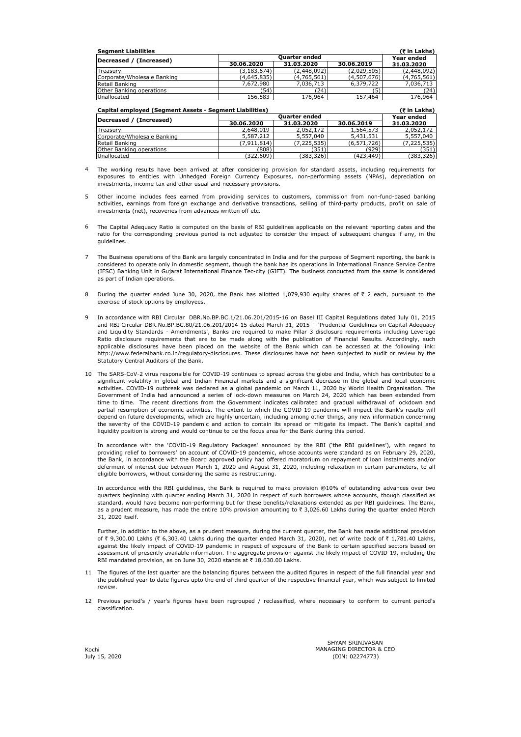| <b>Segment Liabilities</b>  |               |                      |             | (१ in Lakhs) |
|-----------------------------|---------------|----------------------|-------------|--------------|
| Decreased / (Increased)     |               | <b>Ouarter ended</b> |             | Year ended   |
|                             | 30.06.2020    | 31.03.2020           | 30.06.2019  | 31.03.2020   |
| Treasurv                    | (3, 183, 674) | (2,448,092)          | (2,029,505) | (2,448,092)  |
| Corporate/Wholesale Banking | (4,645,835)   | (4,765,561)          | (4,507,676) | (4,765,561)  |
| Retail Banking              | 7,672,980     | 7,036,713            | 6,379,722   | 7,036,713    |
| Other Banking operations    | (54)          | (24)                 |             | (24)         |
| Unallocated                 | 156,583       | 176,964              | 157,464     | 176,964      |

| Capital employed (Segment Assets - Segment Liabilities) |             |               |               | (१ in Lakhs)  |
|---------------------------------------------------------|-------------|---------------|---------------|---------------|
| Decreased / (Increased)                                 |             | Ouarter ended |               | Year ended    |
|                                                         | 30.06.2020  | 31.03.2020    | 30.06.2019    | 31.03.2020    |
| Treasurv                                                | 2,648,019   | 2,052,172     | 1,564,573     | 2,052,172     |
| Corporate/Wholesale Banking                             | 5,587,212   | 5,557,040     | 5,431,531     | 5,557,040     |
| Retail Banking                                          | (7.911.814) | (7, 225, 535) | (6, 571, 726) | (7, 225, 535) |
| Other Banking operations                                | (808)       | (351)         | (929)         | (351)         |
| Unallocated                                             | (322,609)   | (383,326)     | (423,449)     | (383,326)     |

- 4 The working results have been arrived at after considering provision for standard assets, including requirements for exposures to entities with Unhedged Foreign Currency Exposures, non-performing assets (NPAs), depreciation on investments, income-tax and other usual and necessary provisions.
- 5 Other income includes fees earned from providing services to customers, commission from non-fund-based banking activities, earnings from foreign exchange and derivative transactions, selling of third-party products, profit on sale of investments (net), recoveries from advances written off etc.
- 6 The Capital Adequacy Ratio is computed on the basis of RBI guidelines applicable on the relevant reporting dates and the ratio for the corresponding previous period is not adjusted to consider the impact of subsequent changes if any, in the guidelines.
- 7 The Business operations of the Bank are largely concentrated in India and for the purpose of Segment reporting, the bank is considered to operate only in domestic segment, though the bank has its operations in International Finance Service Centre (IFSC) Banking Unit in Gujarat International Finance Tec-city (GIFT). The business conducted from the same is considered as part of Indian operations.
- 8 During the quarter ended June 30, 2020, the Bank has allotted 1,079,930 equity shares of  $\bar{\tau}$  2 each, pursuant to the exercise of stock options by employees.
- 9 In accordance with RBI Circular DBR.No.BP.BC.1/21.06.201/2015-16 on Basel III Capital Regulations dated July 01, 2015 and RBI Circular DBR.No.BP.BC.80/21.06.201/2014-15 dated March 31, 2015 - 'Prudential Guidelines on Capital Adequacy and Liquidity Standards - Amendments', Banks are required to make Pillar 3 disclosure requirements including Leverage Ratio disclosure requirements that are to be made along with the publication of Financial Results. Accordingly, such applicable disclosures have been placed on the website of the Bank which can be accessed at the following link: http://www.federalbank.co.in/regulatory-disclosures. These disclosures have not been subjected to audit or review by the Statutory Central Auditors of the Bank.
- 10 The SARS-CoV-2 virus responsible for COVID-19 continues to spread across the globe and India, which has contributed to a significant volatility in global and Indian Financial markets and a significant decrease in the global and local economic activities. COVID-19 outbreak was declared as a global pandemic on March 11, 2020 by World Health Organisation. The Government of India had announced a series of lock-down measures on March 24, 2020 which has been extended from time to time. The recent directions from the Government indicates calibrated and gradual withdrawal of lockdown and partial resumption of economic activities. The extent to which the COVID-19 pandemic will impact the Bank's results will depend on future developments, which are highly uncertain, including among other things, any new information concerning the severity of the COVID-19 pandemic and action to contain its spread or mitigate its impact. The Bank's capital and liquidity position is strong and would continue to be the focus area for the Bank during this period.

In accordance with the 'COVID-19 Regulatory Packages' announced by the RBI ('the RBI guidelines'), with regard to providing relief to borrowers' on account of COVID-19 pandemic, whose accounts were standard as on February 29, 2020, the Bank, in accordance with the Board approved policy had offered moratorium on repayment of loan instalments and/or deferment of interest due between March 1, 2020 and August 31, 2020, including relaxation in certain parameters, to all eligible borrowers, without considering the same as restructuring.

In accordance with the RBI guidelines, the Bank is required to make provision @10% of outstanding advances over two quarters beginning with quarter ending March 31, 2020 in respect of such borrowers whose accounts, though classified as standard, would have become non-performing but for these benefits/relaxations extended as per RBI guidelines. The Bank, as a prudent measure, has made the entire 10% provision amounting to  $\bar{\tau}$  3,026.60 Lakhs during the quarter ended March 31, 2020 itself.

Further, in addition to the above, as a prudent measure, during the current quarter, the Bank has made additional provision of  $\bar{\tau}$  9,300.00 Lakhs ( $\bar{\tau}$  6,303.40 Lakhs during the quarter ended March 31, 2020), net of write back of  $\bar{\tau}$  1,781.40 Lakhs, against the likely impact of COVID-19 pandemic in respect of exposure of the Bank to certain specified sectors based on assessment of presently available information. The aggregate provision against the likely impact of COVID-19, including the RBI mandated provision, as on June 30, 2020 stands at  $\bar{\tau}$  18,630.00 Lakhs.

- 11 The figures of the last quarter are the balancing figures between the audited figures in respect of the full financial year and the published year to date figures upto the end of third quarter of the respective financial year, which was subject to limited review.
- 12 Previous period's / year's figures have been regrouped / reclassified, where necessary to conform to current period's classification.

Kochi July 15, 2020 MANAGING DIRECTOR & CEO (DIN: 02274773) SHYAM SRINIVASAN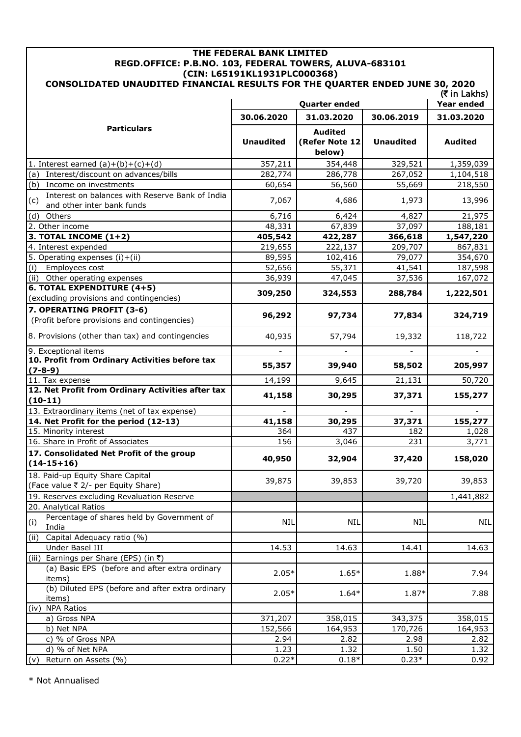# $(\bar{\bar{\tau}}$  in Lakhs) **Year ended 30.06.2020 31.03.2020 30.06.2019 31.03.2020 Unaudited Audited (Refer Note 12 below) Unaudited Audited** 1. Interest earned (a)+(b)+(c)+(d) 357,211 354,448 329,521 1,359,039 (a) Interest/discount on advances/bills  $(282,774$  286,778  $286,778$  267,052  $1,104,518$ (b) Income on investments 60,654 56,560 55,669 218,550 (c) Interest on balances with Reserve Bank of India and other inter bank funds and other inter bank funds that will be a set of bank funds and other inter bank funds (d) Others 6,716 6,424 4,827 21,975 2. Other income 188,181 67,839 37,097 188,181 **3. TOTAL INCOME (1+2) 405,542 422,287 366,618 1,547,220** 4. Interest expended 219,655 222,137 209,707 867,831 5. Operating expenses (i)+(ii) 89,595 102,416 79,077 354,670 (i) Employees cost  $52,656$  55,371 41,541 187,598 (ii) Other operating expenses 167,072  **309,250 324,553 288,784 1,222,501 96,292 97,734 77,834 324,719** 40,935 57,794 19,332 118,722 9. Exceptional items - - - -  **55,357 39,940 58,502 205,997** 11. Tax expense 14,199 9,645 21,131 50,720  **41,158 30,295 37,371 155,277** 13. Extraordinary items (net of tax expense) **14. Net Profit for the period (12-13)** 41,158 30,295 37,371 155,277 15. Minority interest 364 437 182 1,028 16. Share in Profit of Associates 156 156 23,046 231 3,771  **40,950 32,904 37,420 158,020** 39,875 39,853 39,720 39,853 1,441,882 20. Analytical Ratios (i) Percentage of shares held by Government of Telechtage of shares held by Government of Telecommunication NIL NIL NIL NIL NIL NIL NIL NIL (ii) Capital Adequacy ratio (%) Under Basel III 14.63 14.53 14.63 14.41 14.63 (iii) Earnings per Share (EPS) (in  $\bar{z}$ ) (a) Basic EPS (before and after extra ordinary tems)  $1.88*$   $1.88*$   $1.88*$   $1.88*$   $1.88*$   $1.88*$  7.94 (b) Diluted EPS (before and after extra ordinary items)  $1.64*$   $1.87*$   $1.67*$   $1.67*$   $1.87*$   $1.88*$ (iv) NPA Ratios a) Gross NPA 371,207 358,015 343,375 358,015 b) Net NPA 152,566 164,953 170,726 164,953 c) % of Gross NPA 2.94 2.82 2.98 2.82<br>d) % of Net NPA 1.23 1.32 1.50 1.32 d) % of Net NPA 1.32 1.32 1.50 1.32 (v) Return on Assets (%) 0.22\* 0.18\* 0.23\* 0.92 18. Paid-up Equity Share Capital (Face value  $\bar{\tau}$  2/- per Equity Share) 19. Reserves excluding Revaluation Reserve **17. Consolidated Net Profit of the group (14-15+16) 6. TOTAL EXPENDITURE (4+5)**  (excluding provisions and contingencies) **7. OPERATING PROFIT (3-6)** (Profit before provisions and contingencies) 8. Provisions (other than tax) and contingencies **10. Profit from Ordinary Activities before tax (7-8-9) 12. Net Profit from Ordinary Activities after tax (10-11) Particulars Quarter ended THE FEDERAL BANK LIMITED REGD.OFFICE: P.B.NO. 103, FEDERAL TOWERS, ALUVA-683101 (CIN: L65191KL1931PLC000368) CONSOLIDATED UNAUDITED FINANCIAL RESULTS FOR THE QUARTER ENDED JUNE 30, 2020**

\* Not Annualised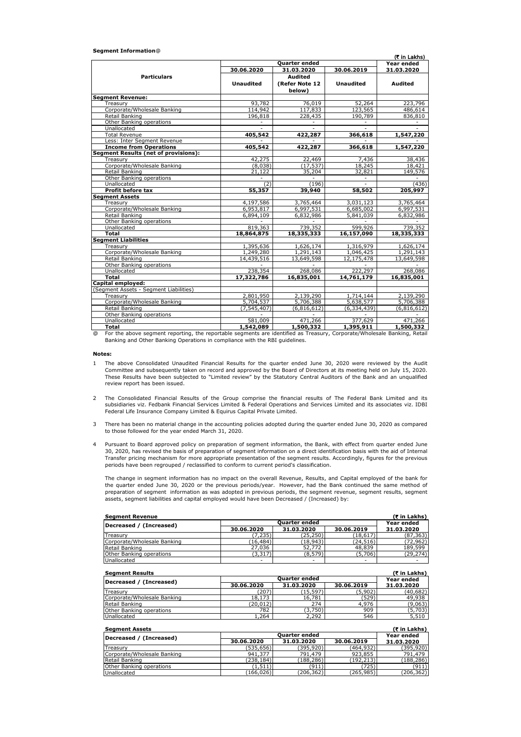### **Segment Information**@

|                                             |                  |                      |                  | (₹ in Lakhs)   |
|---------------------------------------------|------------------|----------------------|------------------|----------------|
|                                             |                  | <b>Quarter ended</b> |                  | Year ended     |
|                                             | 30.06.2020       | 31.03.2020           | 30.06.2019       | 31.03.2020     |
| <b>Particulars</b>                          |                  | Audited              |                  |                |
|                                             | <b>Unaudited</b> | (Refer Note 12       | <b>Unaudited</b> | <b>Audited</b> |
|                                             |                  | below)               |                  |                |
| <b>Segment Revenue:</b>                     |                  |                      |                  |                |
| Treasurv                                    | 93,782           | 76,019               | 52,264           | 223,796        |
| Corporate/Wholesale Banking                 | 114,942          | 117,833              | 123,565          | 486,614        |
| Retail Banking                              | 196,818          | 228,435              | 190,789          | 836,810        |
| Other Banking operations                    |                  |                      | $\sim$           |                |
| Unallocated                                 |                  |                      |                  |                |
| <b>Total Revenue</b>                        | 405,542          | 422,287              | 366,618          | 1,547,220      |
| Less: Inter Segment Revenue                 |                  |                      |                  |                |
| <b>Income from Operations</b>               | 405,542          | 422,287              | 366,618          | 1,547,220      |
| <b>Segment Results (net of provisions):</b> |                  |                      |                  |                |
| Treasurv                                    | 42,275           | 22,469               | 7,436            | 38,436         |
| Corporate/Wholesale Banking                 | (8,038)          | (17, 537)            | 18,245           | 18,421         |
| Retail Banking                              | 21,122           | 35,204               | 32,821           | 149,576        |
| Other Banking operations                    |                  |                      |                  |                |
| Unallocated                                 | (2)              | (196)                |                  | (436)          |
| <b>Profit before tax</b>                    | 55,357           | 39,940               | 58,502           | 205,997        |
| <b>Segment Assets</b>                       |                  |                      |                  |                |
| Treasury                                    | 4,197,586        | 3,765,464            | 3,031,123        | 3,765,464      |
| Corporate/Wholesale Banking                 | 6,953,817        | 6,997,531            | 6,685,002        | 6,997,531      |
| Retail Banking                              | 6,894,109        | 6,832,986            | 5,841,039        | 6,832,986      |
| Other Banking operations                    |                  |                      |                  |                |
| Unallocated                                 | 819,363          | 739,352              | 599,926          | 739,352        |
| Total                                       | 18,864,875       | 18,335,333           | 16,157,090       | 18,335,333     |
| <b>Segment Liabilities</b>                  |                  |                      |                  |                |
| Treasury                                    | 1,395,636        | 1,626,174            | 1,316,979        | 1,626,174      |
| Corporate/Wholesale Banking                 | 1,249,280        | 1,291,143            | 1,046,425        | 1,291,143      |
| Retail Banking                              | 14,439,516       | 13,649,598           | 12,175,478       | 13,649,598     |
| Other Banking operations                    |                  |                      |                  |                |
| Unallocated                                 | 238,354          | 268,086              | 222,297          | 268,086        |
| <b>Total</b>                                | 17,322,786       | 16,835,001           | 14,761,179       | 16,835,001     |
| Capital employed:                           |                  |                      |                  |                |
| (Segment Assets - Segment Liabilities)      |                  |                      |                  |                |
| Treasurv                                    | 2,801,950        | 2,139,290            | 1,714,144        | 2,139,290      |
| Corporate/Wholesale Banking                 | 5,704,537        | 5,706,388            | 5,638,577        | 5,706,388      |
| Retail Banking                              | (7, 545, 407)    | (6, 816, 612)        | (6, 334, 439)    | (6, 816, 612)  |
| Other Banking operations                    |                  |                      |                  |                |
| Unallocated                                 | 581.009          | 471,266              | 377,629          | 471,266        |
| $T - 1$                                     | 1.512.00         | 1.500.222            | 1.22522          | $\sim$ rooms.  |

**Total 1,542,089 1,500,332 1,395,911 1,500,332** For the above segment reporting, the reportable segments are identified as Treasury, Corporate/Wholesale Banking, Retail @ Banking and Other Banking Operations in compliance with the RBI guidelines.

#### **Notes:**

- 1 The above Consolidated Unaudited Financial Results for the quarter ended June 30, 2020 were reviewed by the Audit Committee and subsequently taken on record and approved by the Board of Directors at its meeting held on July 15, 2020.<br>These Results have been subjected to "Limited review" by the Statutory Central Auditors of the Bank an review report has been issued.
- 2 The Consolidated Financial Results of the Group comprise the financial results of The Federal Bank Limited and its subsidiaries viz. Fedbank Financial Services Limited & Federal Operations and Services Limited and its associates viz. IDBI Federal Life Insurance Company Limited & Equirus Capital Private Limited.
- 3 There has been no material change in the accounting policies adopted during the quarter ended June 30, 2020 as compared to those followed for the year ended March 31, 2020.
- 4 Pursuant to Board approved policy on preparation of segment information, the Bank, with effect from quarter ended June 30, 2020, has revised the basis of preparation of segment information on a direct identification basis with the aid of Internal Transfer pricing mechanism for more appropriate presentation of the segment results. Accordingly, figures for the previous periods have been regrouped / reclassified to conform to current period's classification.

The change in segment information has no impact on the overall Revenue, Results, and Capital employed of the bank for the quarter ended June 30, 2020 or the previous periods/year. However, had the Bank continued the same method of<br>preparation of segment information as was adopted in previous periods, the segment revenue, segment results assets, segment liabilities and capital employed would have been Decreased / (Increased) by:

| <b>Seament Revenue</b>      |            |                      |            | (そin Lakhs) |
|-----------------------------|------------|----------------------|------------|-------------|
| Decreased / (Increased)     |            | <b>Ouarter ended</b> |            | Year ended  |
|                             | 30.06.2020 | 31.03.2020           | 30.06.2019 | 31.03.2020  |
| Treasurv                    | (7,235)    | (25, 250)            | (18, 617)  | (87, 363)   |
| Corporate/Wholesale Banking | (16,484)   | (18, 943)            | (24, 516)  | (72, 962)   |
| Retail Banking              | 27,036     | 52,772               | 48,839     | 189,599     |
| Other Banking operations    | (3,317)    | (8,579               | (5,706)    | (29, 274)   |
| Unallocated                 | ۰.         |                      |            |             |

| <b>Seament Results</b>      |            |                      |            | (₹ in Lakhs) |
|-----------------------------|------------|----------------------|------------|--------------|
| Decreased / (Increased)     |            | <b>Ouarter ended</b> |            | Year ended   |
|                             | 30.06.2020 | 31.03.2020           | 30.06.2019 | 31.03.2020   |
| Treasurv                    | (207)      | (15, 597)            | (5,902)    | (40, 682)    |
| Corporate/Wholesale Banking | 18,173     | 16,781               | (529)      | 49,938       |
| Retail Banking              | (20, 012)  | 274                  | 4,976      | (9,063)      |
| Other Banking operations    | 782        | (3,750)              | 909        | (5,703)      |
| Unallocated                 | 1.264      | 2.292                | 546        | 5,510        |

| <b>Seament Assets</b>       |            |                      |            | (र in Lakhs) |
|-----------------------------|------------|----------------------|------------|--------------|
| Decreased / (Increased)     |            | <b>Ouarter ended</b> |            | Year ended   |
|                             | 30.06.2020 | 31.03.2020           | 30.06.2019 | 31.03.2020   |
| Treasury                    | (535.656)  | (395.920)            | (464, 932) | (395, 920)   |
| Corporate/Wholesale Banking | 941.377    | 791,479              | 923,855    | 791,479      |
| Retail Banking              | (238, 184) | (188, 286)           | (192, 213) | (188, 286)   |
| Other Banking operations    | (1, 511)   | (911)                | (725)      | (911)        |
| Unallocated                 | (166, 026) | (206, 362)           | (265, 985) | (206, 362)   |